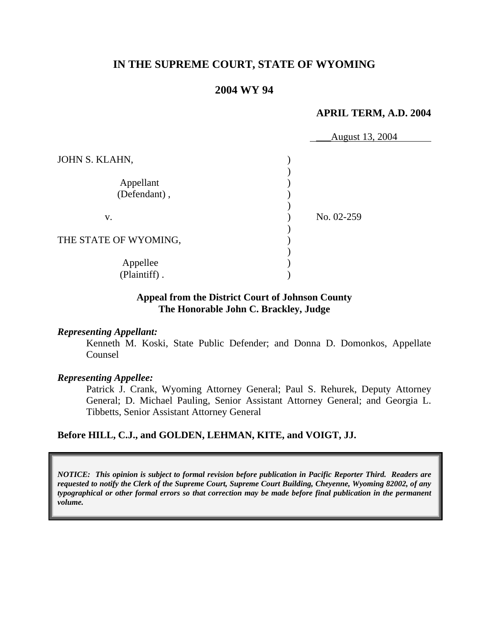# **IN THE SUPREME COURT, STATE OF WYOMING**

# **2004 WY 94**

### **APRIL TERM, A.D. 2004**

|                             | <u>August 13, 2004</u> |
|-----------------------------|------------------------|
| JOHN S. KLAHN,<br>Appellant |                        |
| (Defendant),                |                        |
| V.                          | No. 02-259             |
| THE STATE OF WYOMING,       |                        |
| Appellee<br>(Plaintiff).    |                        |

### **Appeal from the District Court of Johnson County The Honorable John C. Brackley, Judge**

#### *Representing Appellant:*

Kenneth M. Koski, State Public Defender; and Donna D. Domonkos, Appellate Counsel

### *Representing Appellee:*

Patrick J. Crank, Wyoming Attorney General; Paul S. Rehurek, Deputy Attorney General; D. Michael Pauling, Senior Assistant Attorney General; and Georgia L. Tibbetts, Senior Assistant Attorney General

### **Before HILL, C.J., and GOLDEN, LEHMAN, KITE, and VOIGT, JJ.**

*NOTICE: This opinion is subject to formal revision before publication in Pacific Reporter Third. Readers are requested to notify the Clerk of the Supreme Court, Supreme Court Building, Cheyenne, Wyoming 82002, of any typographical or other formal errors so that correction may be made before final publication in the permanent volume.*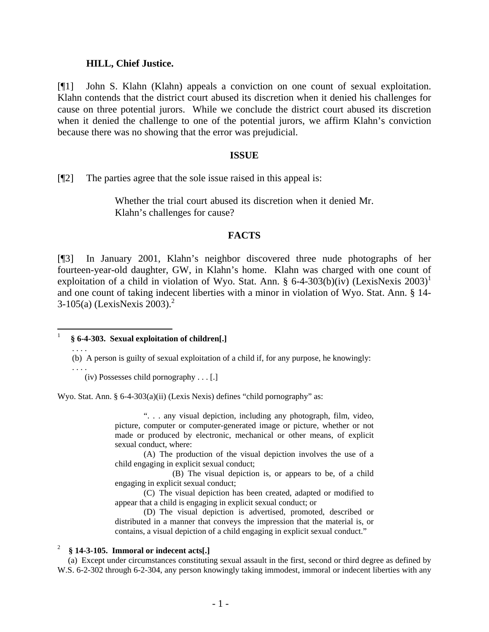### **HILL, Chief Justice.**

[¶1] John S. Klahn (Klahn) appeals a conviction on one count of sexual exploitation. Klahn contends that the district court abused its discretion when it denied his challenges for cause on three potential jurors. While we conclude the district court abused its discretion when it denied the challenge to one of the potential jurors, we affirm Klahn's conviction because there was no showing that the error was prejudicial.

#### **ISSUE**

[¶2] The parties agree that the sole issue raised in this appeal is:

Whether the trial court abused its discretion when it denied Mr. Klahn's challenges for cause?

#### **FACTS**

[¶3] In January 2001, Klahn's neighbor discovered three nude photographs of her fourteen-year-old daughter, GW, in Klahn's home. Klahn was charged with one count of exploitation of a child in violation of Wyo. Stat. Ann. § 6-4-303(b)(iv) (LexisNexis 2003)<sup>1</sup> and one count of taking indecent liberties with a minor in violation of Wyo. Stat. Ann. § 14- 3-105(a) (LexisNexis 2003).<sup>2</sup>

### |<br>|<br>|  **§ 6-4-303. Sexual exploitation of children[.]**

(b) A person is guilty of sexual exploitation of a child if, for any purpose, he knowingly:

. . . .

. . . .

(iv) Possesses child pornography . . . [.]

Wyo. Stat. Ann. § 6-4-303(a)(ii) (Lexis Nexis) defines "child pornography" as:

". . . any visual depiction, including any photograph, film, video, picture, computer or computer-generated image or picture, whether or not made or produced by electronic, mechanical or other means, of explicit sexual conduct, where:

(A) The production of the visual depiction involves the use of a child engaging in explicit sexual conduct;

(B) The visual depiction is, or appears to be, of a child engaging in explicit sexual conduct;

(C) The visual depiction has been created, adapted or modified to appear that a child is engaging in explicit sexual conduct; or

(D) The visual depiction is advertised, promoted, described or distributed in a manner that conveys the impression that the material is, or contains, a visual depiction of a child engaging in explicit sexual conduct."

# 2  **§ 14-3-105. Immoral or indecent acts[.]**

(a) Except under circumstances constituting sexual assault in the first, second or third degree as defined by W.S. 6-2-302 through 6-2-304, any person knowingly taking immodest, immoral or indecent liberties with any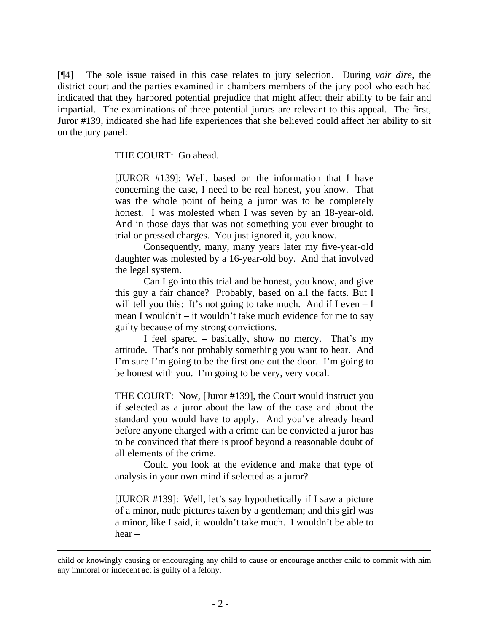[¶4] The sole issue raised in this case relates to jury selection. During *voir dire*, the district court and the parties examined in chambers members of the jury pool who each had indicated that they harbored potential prejudice that might affect their ability to be fair and impartial. The examinations of three potential jurors are relevant to this appeal. The first, Juror #139, indicated she had life experiences that she believed could affect her ability to sit on the jury panel:

THE COURT: Go ahead.

[JUROR #139]: Well, based on the information that I have concerning the case, I need to be real honest, you know. That was the whole point of being a juror was to be completely honest. I was molested when I was seven by an 18-year-old. And in those days that was not something you ever brought to trial or pressed charges. You just ignored it, you know.

Consequently, many, many years later my five-year-old daughter was molested by a 16-year-old boy. And that involved the legal system.

Can I go into this trial and be honest, you know, and give this guy a fair chance? Probably, based on all the facts. But I will tell you this: It's not going to take much. And if I even  $-I$ mean I wouldn't – it wouldn't take much evidence for me to say guilty because of my strong convictions.

I feel spared – basically, show no mercy. That's my attitude. That's not probably something you want to hear. And I'm sure I'm going to be the first one out the door. I'm going to be honest with you. I'm going to be very, very vocal.

THE COURT: Now, [Juror #139], the Court would instruct you if selected as a juror about the law of the case and about the standard you would have to apply. And you've already heard before anyone charged with a crime can be convicted a juror has to be convinced that there is proof beyond a reasonable doubt of all elements of the crime.

Could you look at the evidence and make that type of analysis in your own mind if selected as a juror?

[JUROR #139]: Well, let's say hypothetically if I saw a picture of a minor, nude pictures taken by a gentleman; and this girl was a minor, like I said, it wouldn't take much. I wouldn't be able to hear –

 $\overline{a}$ 

child or knowingly causing or encouraging any child to cause or encourage another child to commit with him any immoral or indecent act is guilty of a felony.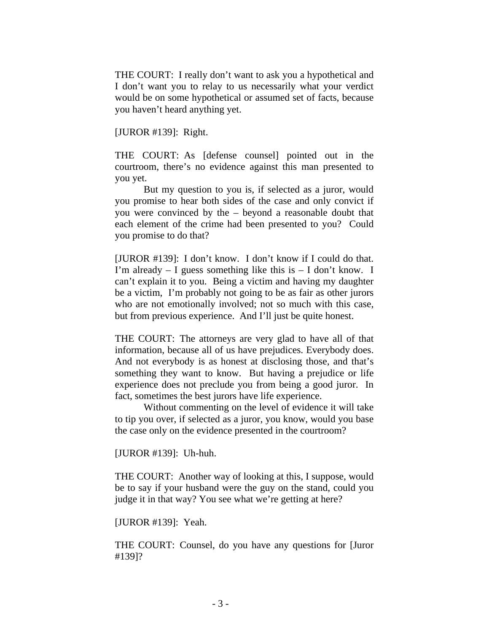THE COURT: I really don't want to ask you a hypothetical and I don't want you to relay to us necessarily what your verdict would be on some hypothetical or assumed set of facts, because you haven't heard anything yet.

[JUROR #139]: Right.

THE COURT: As [defense counsel] pointed out in the courtroom, there's no evidence against this man presented to you yet.

But my question to you is, if selected as a juror, would you promise to hear both sides of the case and only convict if you were convinced by the – beyond a reasonable doubt that each element of the crime had been presented to you? Could you promise to do that?

[JUROR #139]: I don't know. I don't know if I could do that. I'm already  $-$  I guess something like this is  $-$  I don't know. I can't explain it to you. Being a victim and having my daughter be a victim, I'm probably not going to be as fair as other jurors who are not emotionally involved; not so much with this case, but from previous experience. And I'll just be quite honest.

THE COURT: The attorneys are very glad to have all of that information, because all of us have prejudices. Everybody does. And not everybody is as honest at disclosing those, and that's something they want to know. But having a prejudice or life experience does not preclude you from being a good juror. In fact, sometimes the best jurors have life experience.

Without commenting on the level of evidence it will take to tip you over, if selected as a juror, you know, would you base the case only on the evidence presented in the courtroom?

[JUROR #139]: Uh-huh.

THE COURT: Another way of looking at this, I suppose, would be to say if your husband were the guy on the stand, could you judge it in that way? You see what we're getting at here?

[JUROR #139]: Yeah.

THE COURT: Counsel, do you have any questions for [Juror #139]?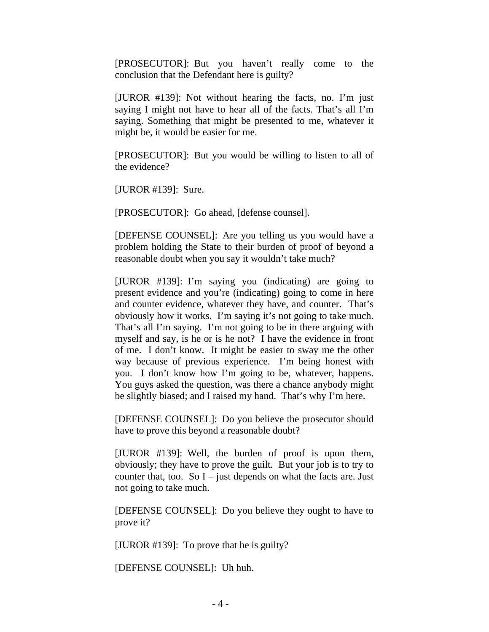[PROSECUTOR]: But you haven't really come to the conclusion that the Defendant here is guilty?

[JUROR #139]: Not without hearing the facts, no. I'm just saying I might not have to hear all of the facts. That's all I'm saying. Something that might be presented to me, whatever it might be, it would be easier for me.

[PROSECUTOR]: But you would be willing to listen to all of the evidence?

[JUROR #139]: Sure.

[PROSECUTOR]: Go ahead, [defense counsel].

[DEFENSE COUNSEL]: Are you telling us you would have a problem holding the State to their burden of proof of beyond a reasonable doubt when you say it wouldn't take much?

[JUROR #139]: I'm saying you (indicating) are going to present evidence and you're (indicating) going to come in here and counter evidence, whatever they have, and counter. That's obviously how it works. I'm saying it's not going to take much. That's all I'm saying. I'm not going to be in there arguing with myself and say, is he or is he not? I have the evidence in front of me. I don't know. It might be easier to sway me the other way because of previous experience. I'm being honest with you. I don't know how I'm going to be, whatever, happens. You guys asked the question, was there a chance anybody might be slightly biased; and I raised my hand. That's why I'm here.

[DEFENSE COUNSEL]: Do you believe the prosecutor should have to prove this beyond a reasonable doubt?

[JUROR #139]: Well, the burden of proof is upon them, obviously; they have to prove the guilt. But your job is to try to counter that, too. So  $I -$  just depends on what the facts are. Just not going to take much.

[DEFENSE COUNSEL]: Do you believe they ought to have to prove it?

[JUROR #139]: To prove that he is guilty?

[DEFENSE COUNSEL]: Uh huh.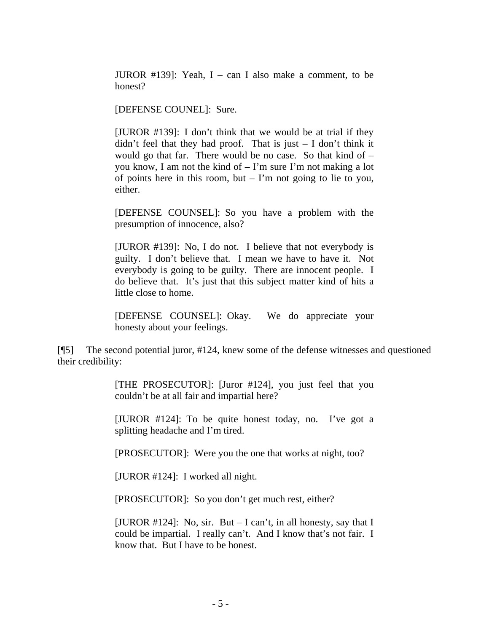JUROR #139]: Yeah,  $I - can I$  also make a comment, to be honest?

[DEFENSE COUNEL]: Sure.

[JUROR #139]: I don't think that we would be at trial if they didn't feel that they had proof. That is just  $- I$  don't think it would go that far. There would be no case. So that kind of – you know, I am not the kind of – I'm sure I'm not making a lot of points here in this room, but  $-$  I'm not going to lie to you, either.

[DEFENSE COUNSEL]: So you have a problem with the presumption of innocence, also?

[JUROR #139]: No, I do not. I believe that not everybody is guilty. I don't believe that. I mean we have to have it. Not everybody is going to be guilty. There are innocent people. I do believe that. It's just that this subject matter kind of hits a little close to home.

[DEFENSE COUNSEL]: Okay. We do appreciate your honesty about your feelings.

[¶5] The second potential juror, #124, knew some of the defense witnesses and questioned their credibility:

> [THE PROSECUTOR]: [Juror #124], you just feel that you couldn't be at all fair and impartial here?

> [JUROR #124]: To be quite honest today, no. I've got a splitting headache and I'm tired.

[PROSECUTOR]: Were you the one that works at night, too?

[JUROR #124]: I worked all night.

[PROSECUTOR]: So you don't get much rest, either?

[JUROR #124]: No, sir. But – I can't, in all honesty, say that I could be impartial. I really can't. And I know that's not fair. I know that. But I have to be honest.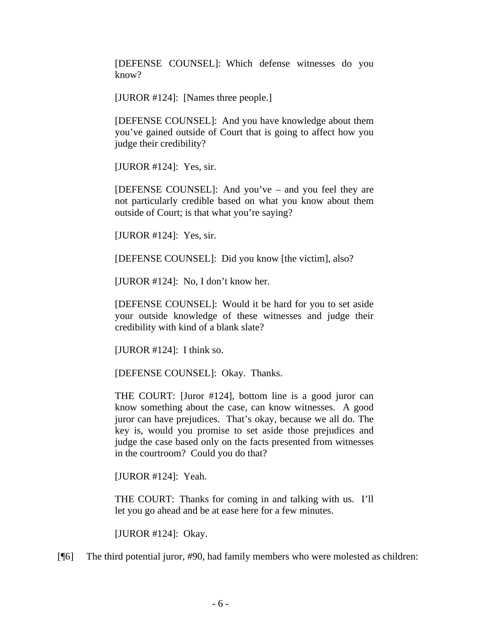[DEFENSE COUNSEL]: Which defense witnesses do you know?

[JUROR #124]: [Names three people.]

[DEFENSE COUNSEL]: And you have knowledge about them you've gained outside of Court that is going to affect how you judge their credibility?

[JUROR #124]: Yes, sir.

[DEFENSE COUNSEL]: And you've – and you feel they are not particularly credible based on what you know about them outside of Court; is that what you're saying?

[JUROR #124]: Yes, sir.

[DEFENSE COUNSEL]: Did you know [the victim], also?

[JUROR #124]: No, I don't know her.

[DEFENSE COUNSEL]: Would it be hard for you to set aside your outside knowledge of these witnesses and judge their credibility with kind of a blank slate?

[JUROR #124]: I think so.

[DEFENSE COUNSEL]: Okay. Thanks.

THE COURT: [Juror #124], bottom line is a good juror can know something about the case, can know witnesses. A good juror can have prejudices. That's okay, because we all do. The key is, would you promise to set aside those prejudices and judge the case based only on the facts presented from witnesses in the courtroom? Could you do that?

[JUROR #124]: Yeah.

THE COURT: Thanks for coming in and talking with us. I'll let you go ahead and be at ease here for a few minutes.

[JUROR #124]: Okay.

[¶6] The third potential juror, #90, had family members who were molested as children: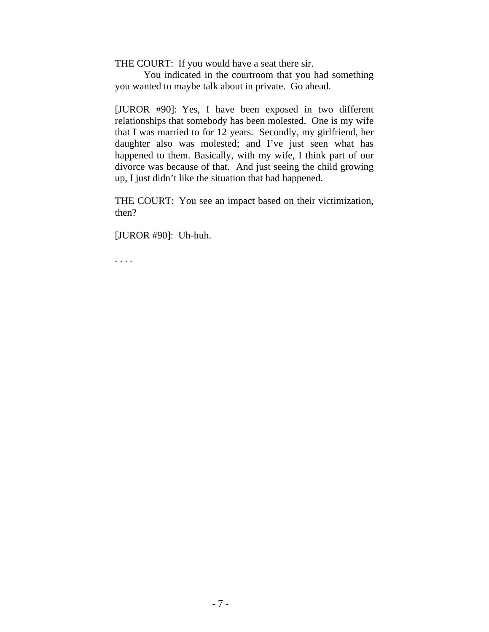THE COURT: If you would have a seat there sir.

You indicated in the courtroom that you had something you wanted to maybe talk about in private. Go ahead.

[JUROR #90]: Yes, I have been exposed in two different relationships that somebody has been molested. One is my wife that I was married to for 12 years. Secondly, my girlfriend, her daughter also was molested; and I've just seen what has happened to them. Basically, with my wife, I think part of our divorce was because of that. And just seeing the child growing up, I just didn't like the situation that had happened.

THE COURT: You see an impact based on their victimization, then?

[JUROR #90]: Uh-huh.

. . . .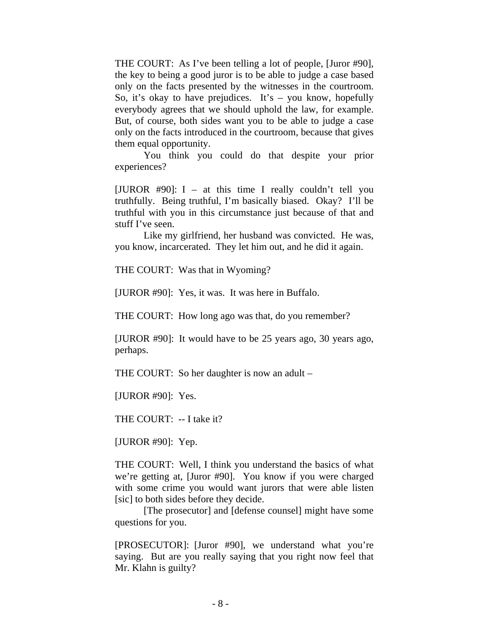THE COURT: As I've been telling a lot of people, [Juror #90], the key to being a good juror is to be able to judge a case based only on the facts presented by the witnesses in the courtroom. So, it's okay to have prejudices. It's  $-$  you know, hopefully everybody agrees that we should uphold the law, for example. But, of course, both sides want you to be able to judge a case only on the facts introduced in the courtroom, because that gives them equal opportunity.

You think you could do that despite your prior experiences?

[JUROR  $#90$ ]: I – at this time I really couldn't tell you truthfully. Being truthful, I'm basically biased. Okay? I'll be truthful with you in this circumstance just because of that and stuff I've seen.

Like my girlfriend, her husband was convicted. He was, you know, incarcerated. They let him out, and he did it again.

THE COURT: Was that in Wyoming?

[JUROR #90]: Yes, it was. It was here in Buffalo.

THE COURT: How long ago was that, do you remember?

[JUROR #90]: It would have to be 25 years ago, 30 years ago, perhaps.

THE COURT: So her daughter is now an adult –

[JUROR #90]: Yes.

THE COURT: -- I take it?

[JUROR #90]: Yep.

THE COURT: Well, I think you understand the basics of what we're getting at, [Juror #90]. You know if you were charged with some crime you would want jurors that were able listen [sic] to both sides before they decide.

[The prosecutor] and [defense counsel] might have some questions for you.

[PROSECUTOR]: [Juror #90], we understand what you're saying. But are you really saying that you right now feel that Mr. Klahn is guilty?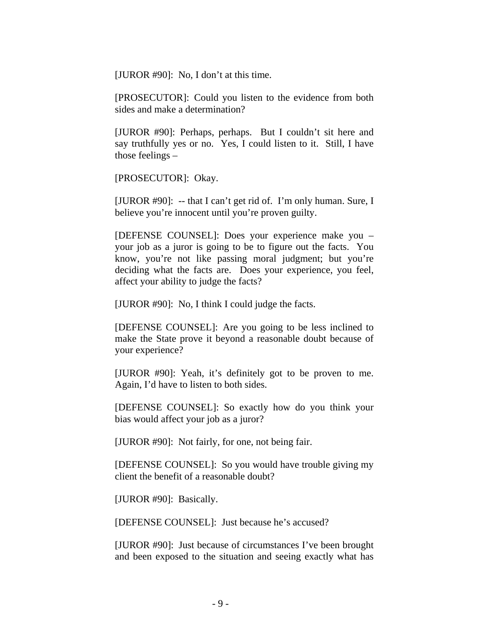[JUROR #90]: No, I don't at this time.

[PROSECUTOR]: Could you listen to the evidence from both sides and make a determination?

[JUROR #90]: Perhaps, perhaps. But I couldn't sit here and say truthfully yes or no. Yes, I could listen to it. Still, I have those feelings –

[PROSECUTOR]: Okay.

[JUROR #90]: -- that I can't get rid of. I'm only human. Sure, I believe you're innocent until you're proven guilty.

[DEFENSE COUNSEL]: Does your experience make you – your job as a juror is going to be to figure out the facts. You know, you're not like passing moral judgment; but you're deciding what the facts are. Does your experience, you feel, affect your ability to judge the facts?

[JUROR #90]: No, I think I could judge the facts.

[DEFENSE COUNSEL]: Are you going to be less inclined to make the State prove it beyond a reasonable doubt because of your experience?

[JUROR #90]: Yeah, it's definitely got to be proven to me. Again, I'd have to listen to both sides.

[DEFENSE COUNSEL]: So exactly how do you think your bias would affect your job as a juror?

[JUROR #90]: Not fairly, for one, not being fair.

[DEFENSE COUNSEL]: So you would have trouble giving my client the benefit of a reasonable doubt?

[JUROR #90]: Basically.

[DEFENSE COUNSEL]: Just because he's accused?

[JUROR #90]: Just because of circumstances I've been brought and been exposed to the situation and seeing exactly what has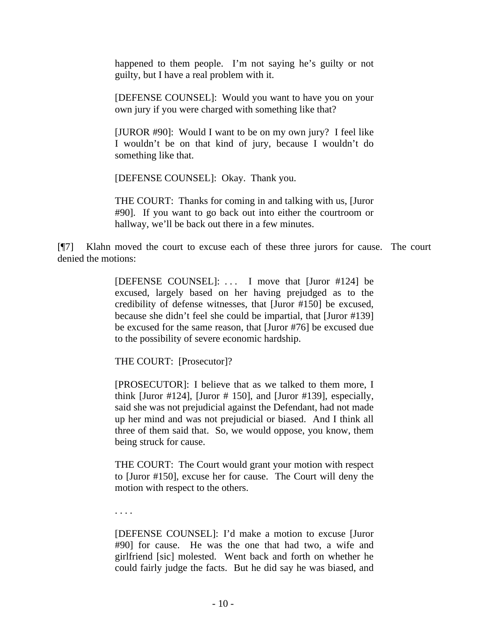happened to them people. I'm not saying he's guilty or not guilty, but I have a real problem with it.

[DEFENSE COUNSEL]: Would you want to have you on your own jury if you were charged with something like that?

[JUROR #90]: Would I want to be on my own jury? I feel like I wouldn't be on that kind of jury, because I wouldn't do something like that.

[DEFENSE COUNSEL]: Okay. Thank you.

THE COURT: Thanks for coming in and talking with us, [Juror #90]. If you want to go back out into either the courtroom or hallway, we'll be back out there in a few minutes.

[¶7] Klahn moved the court to excuse each of these three jurors for cause. The court denied the motions:

> [DEFENSE COUNSEL]: . . . I move that [Juror #124] be excused, largely based on her having prejudged as to the credibility of defense witnesses, that [Juror #150] be excused, because she didn't feel she could be impartial, that [Juror #139] be excused for the same reason, that [Juror #76] be excused due to the possibility of severe economic hardship.

THE COURT: [Prosecutor]?

[PROSECUTOR]: I believe that as we talked to them more, I think [Juror #124], [Juror # 150], and [Juror #139], especially, said she was not prejudicial against the Defendant, had not made up her mind and was not prejudicial or biased. And I think all three of them said that. So, we would oppose, you know, them being struck for cause.

THE COURT: The Court would grant your motion with respect to [Juror #150], excuse her for cause. The Court will deny the motion with respect to the others.

. . . .

[DEFENSE COUNSEL]: I'd make a motion to excuse [Juror #90] for cause. He was the one that had two, a wife and girlfriend [sic] molested. Went back and forth on whether he could fairly judge the facts. But he did say he was biased, and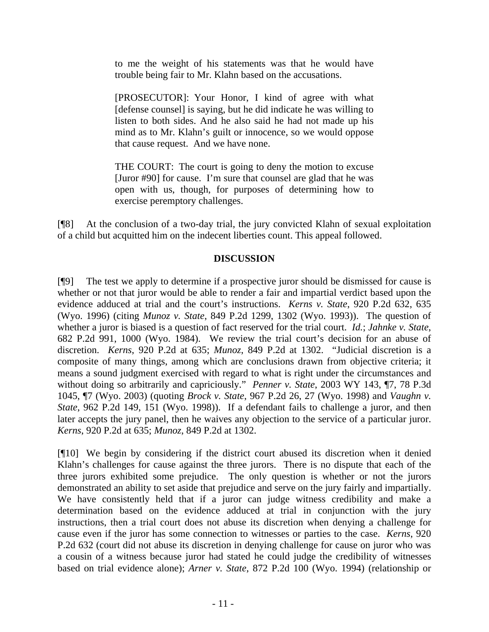to me the weight of his statements was that he would have trouble being fair to Mr. Klahn based on the accusations.

[PROSECUTOR]: Your Honor, I kind of agree with what [defense counsel] is saying, but he did indicate he was willing to listen to both sides. And he also said he had not made up his mind as to Mr. Klahn's guilt or innocence, so we would oppose that cause request. And we have none.

THE COURT: The court is going to deny the motion to excuse [Juror #90] for cause. I'm sure that counsel are glad that he was open with us, though, for purposes of determining how to exercise peremptory challenges.

[¶8] At the conclusion of a two-day trial, the jury convicted Klahn of sexual exploitation of a child but acquitted him on the indecent liberties count. This appeal followed.

# **DISCUSSION**

[¶9] The test we apply to determine if a prospective juror should be dismissed for cause is whether or not that juror would be able to render a fair and impartial verdict based upon the evidence adduced at trial and the court's instructions. *Kerns v. State*, 920 P.2d 632, 635 (Wyo. 1996) (citing *Munoz v. State*, 849 P.2d 1299, 1302 (Wyo. 1993)). The question of whether a juror is biased is a question of fact reserved for the trial court. *Id.*; *Jahnke v. State*, 682 P.2d 991, 1000 (Wyo. 1984). We review the trial court's decision for an abuse of discretion. *Kerns*, 920 P.2d at 635; *Munoz*, 849 P.2d at 1302. "Judicial discretion is a composite of many things, among which are conclusions drawn from objective criteria; it means a sound judgment exercised with regard to what is right under the circumstances and without doing so arbitrarily and capriciously." *Penner v. State*, 2003 WY 143, ¶7, 78 P.3d 1045, ¶7 (Wyo. 2003) (quoting *Brock v. State*, 967 P.2d 26, 27 (Wyo. 1998) and *Vaughn v. State*, 962 P.2d 149, 151 (Wyo. 1998)). If a defendant fails to challenge a juror, and then later accepts the jury panel, then he waives any objection to the service of a particular juror. *Kerns*, 920 P.2d at 635; *Munoz*, 849 P.2d at 1302.

[¶10] We begin by considering if the district court abused its discretion when it denied Klahn's challenges for cause against the three jurors. There is no dispute that each of the three jurors exhibited some prejudice. The only question is whether or not the jurors demonstrated an ability to set aside that prejudice and serve on the jury fairly and impartially. We have consistently held that if a juror can judge witness credibility and make a determination based on the evidence adduced at trial in conjunction with the jury instructions, then a trial court does not abuse its discretion when denying a challenge for cause even if the juror has some connection to witnesses or parties to the case. *Kerns*, 920 P.2d 632 (court did not abuse its discretion in denying challenge for cause on juror who was a cousin of a witness because juror had stated he could judge the credibility of witnesses based on trial evidence alone); *Arner v. State*, 872 P.2d 100 (Wyo. 1994) (relationship or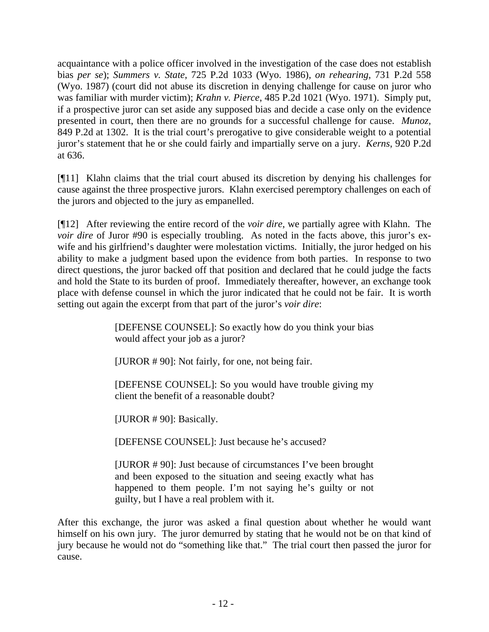acquaintance with a police officer involved in the investigation of the case does not establish bias *per se*); *Summers v. State*, 725 P.2d 1033 (Wyo. 1986), *on rehearing*, 731 P.2d 558 (Wyo. 1987) (court did not abuse its discretion in denying challenge for cause on juror who was familiar with murder victim); *Krahn v. Pierce*, 485 P.2d 1021 (Wyo. 1971). Simply put, if a prospective juror can set aside any supposed bias and decide a case only on the evidence presented in court, then there are no grounds for a successful challenge for cause. *Munoz,* 849 P.2d at 1302. It is the trial court's prerogative to give considerable weight to a potential juror's statement that he or she could fairly and impartially serve on a jury. *Kerns*, 920 P.2d at 636.

[¶11] Klahn claims that the trial court abused its discretion by denying his challenges for cause against the three prospective jurors. Klahn exercised peremptory challenges on each of the jurors and objected to the jury as empanelled.

[¶12] After reviewing the entire record of the *voir dire*, we partially agree with Klahn. The *voir dire* of Juror #90 is especially troubling. As noted in the facts above, this juror's exwife and his girlfriend's daughter were molestation victims. Initially, the juror hedged on his ability to make a judgment based upon the evidence from both parties. In response to two direct questions, the juror backed off that position and declared that he could judge the facts and hold the State to its burden of proof. Immediately thereafter, however, an exchange took place with defense counsel in which the juror indicated that he could not be fair. It is worth setting out again the excerpt from that part of the juror's *voir dire*:

> [DEFENSE COUNSEL]: So exactly how do you think your bias would affect your job as a juror?

[JUROR # 90]: Not fairly, for one, not being fair.

[DEFENSE COUNSEL]: So you would have trouble giving my client the benefit of a reasonable doubt?

[JUROR #90]: Basically.

[DEFENSE COUNSEL]: Just because he's accused?

[JUROR # 90]: Just because of circumstances I've been brought and been exposed to the situation and seeing exactly what has happened to them people. I'm not saying he's guilty or not guilty, but I have a real problem with it.

After this exchange, the juror was asked a final question about whether he would want himself on his own jury. The juror demurred by stating that he would not be on that kind of jury because he would not do "something like that." The trial court then passed the juror for cause.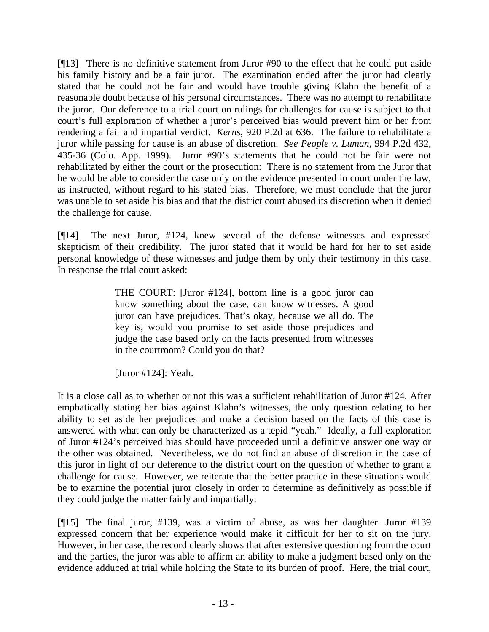[¶13] There is no definitive statement from Juror #90 to the effect that he could put aside his family history and be a fair juror. The examination ended after the juror had clearly stated that he could not be fair and would have trouble giving Klahn the benefit of a reasonable doubt because of his personal circumstances. There was no attempt to rehabilitate the juror. Our deference to a trial court on rulings for challenges for cause is subject to that court's full exploration of whether a juror's perceived bias would prevent him or her from rendering a fair and impartial verdict. *Kerns*, 920 P.2d at 636. The failure to rehabilitate a juror while passing for cause is an abuse of discretion. *See People v. Luman*, 994 P.2d 432, 435-36 (Colo. App. 1999). Juror #90's statements that he could not be fair were not rehabilitated by either the court or the prosecution: There is no statement from the Juror that he would be able to consider the case only on the evidence presented in court under the law, as instructed, without regard to his stated bias. Therefore, we must conclude that the juror was unable to set aside his bias and that the district court abused its discretion when it denied the challenge for cause.

[¶14] The next Juror, #124, knew several of the defense witnesses and expressed skepticism of their credibility. The juror stated that it would be hard for her to set aside personal knowledge of these witnesses and judge them by only their testimony in this case. In response the trial court asked:

> THE COURT: [Juror #124], bottom line is a good juror can know something about the case, can know witnesses. A good juror can have prejudices. That's okay, because we all do. The key is, would you promise to set aside those prejudices and judge the case based only on the facts presented from witnesses in the courtroom? Could you do that?

[Juror #124]: Yeah.

It is a close call as to whether or not this was a sufficient rehabilitation of Juror #124. After emphatically stating her bias against Klahn's witnesses, the only question relating to her ability to set aside her prejudices and make a decision based on the facts of this case is answered with what can only be characterized as a tepid "yeah." Ideally, a full exploration of Juror #124's perceived bias should have proceeded until a definitive answer one way or the other was obtained. Nevertheless, we do not find an abuse of discretion in the case of this juror in light of our deference to the district court on the question of whether to grant a challenge for cause. However, we reiterate that the better practice in these situations would be to examine the potential juror closely in order to determine as definitively as possible if they could judge the matter fairly and impartially.

[¶15] The final juror, #139, was a victim of abuse, as was her daughter. Juror #139 expressed concern that her experience would make it difficult for her to sit on the jury. However, in her case, the record clearly shows that after extensive questioning from the court and the parties, the juror was able to affirm an ability to make a judgment based only on the evidence adduced at trial while holding the State to its burden of proof. Here, the trial court,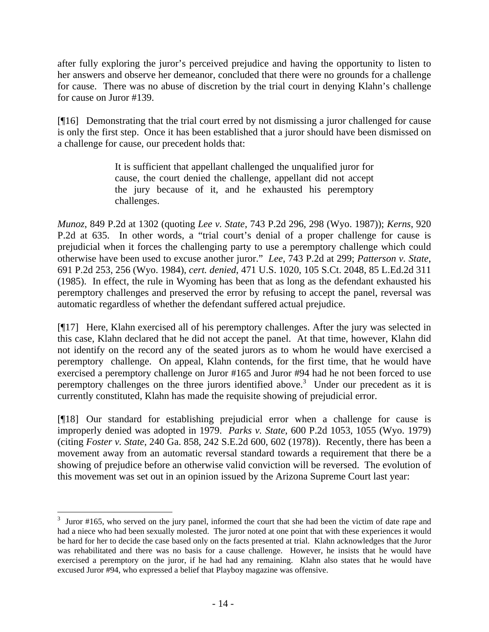after fully exploring the juror's perceived prejudice and having the opportunity to listen to her answers and observe her demeanor, concluded that there were no grounds for a challenge for cause. There was no abuse of discretion by the trial court in denying Klahn's challenge for cause on Juror #139.

[¶16] Demonstrating that the trial court erred by not dismissing a juror challenged for cause is only the first step. Once it has been established that a juror should have been dismissed on a challenge for cause, our precedent holds that:

> It is sufficient that appellant challenged the unqualified juror for cause, the court denied the challenge, appellant did not accept the jury because of it, and he exhausted his peremptory challenges.

*Munoz*, 849 P.2d at 1302 (quoting *Lee v. State*, 743 P.2d 296, 298 (Wyo. 1987)); *Kerns*, 920 P.2d at 635. In other words, a "trial court's denial of a proper challenge for cause is prejudicial when it forces the challenging party to use a peremptory challenge which could otherwise have been used to excuse another juror." *Lee*, 743 P.2d at 299; *Patterson v. State*, 691 P.2d 253, 256 (Wyo. 1984), *cert. denied*, 471 U.S. 1020, 105 S.Ct. 2048, 85 L.Ed.2d 311 (1985). In effect, the rule in Wyoming has been that as long as the defendant exhausted his peremptory challenges and preserved the error by refusing to accept the panel, reversal was automatic regardless of whether the defendant suffered actual prejudice.

[¶17] Here, Klahn exercised all of his peremptory challenges. After the jury was selected in this case, Klahn declared that he did not accept the panel. At that time, however, Klahn did not identify on the record any of the seated jurors as to whom he would have exercised a peremptory challenge. On appeal, Klahn contends, for the first time, that he would have exercised a peremptory challenge on Juror #165 and Juror #94 had he not been forced to use peremptory challenges on the three jurors identified above.<sup>3</sup> Under our precedent as it is currently constituted, Klahn has made the requisite showing of prejudicial error.

[¶18] Our standard for establishing prejudicial error when a challenge for cause is improperly denied was adopted in 1979. *Parks v. State*, 600 P.2d 1053, 1055 (Wyo. 1979) (citing *Foster v. State*, 240 Ga. 858, 242 S.E.2d 600, 602 (1978)). Recently, there has been a movement away from an automatic reversal standard towards a requirement that there be a showing of prejudice before an otherwise valid conviction will be reversed. The evolution of this movement was set out in an opinion issued by the Arizona Supreme Court last year:

 $\overline{a}$ 

 $3$  Juror #165, who served on the jury panel, informed the court that she had been the victim of date rape and had a niece who had been sexually molested. The juror noted at one point that with these experiences it would be hard for her to decide the case based only on the facts presented at trial. Klahn acknowledges that the Juror was rehabilitated and there was no basis for a cause challenge. However, he insists that he would have exercised a peremptory on the juror, if he had had any remaining. Klahn also states that he would have excused Juror #94, who expressed a belief that Playboy magazine was offensive.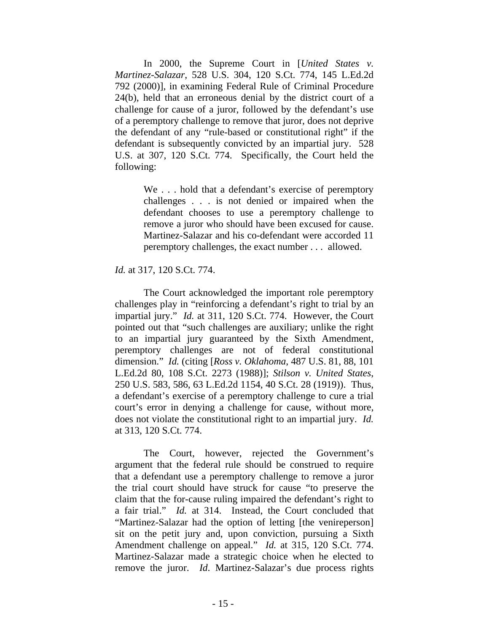In 2000, the Supreme Court in [*United States v. Martinez-Salazar*, 528 U.S. 304, 120 S.Ct. 774, 145 L.Ed.2d 792 (2000)], in examining Federal Rule of Criminal Procedure 24(b), held that an erroneous denial by the district court of a challenge for cause of a juror, followed by the defendant's use of a peremptory challenge to remove that juror, does not deprive the defendant of any "rule-based or constitutional right" if the defendant is subsequently convicted by an impartial jury. 528 U.S. at 307, 120 S.Ct. 774. Specifically, the Court held the following:

> We . . . hold that a defendant's exercise of peremptory challenges . . . is not denied or impaired when the defendant chooses to use a peremptory challenge to remove a juror who should have been excused for cause. Martinez-Salazar and his co-defendant were accorded 11 peremptory challenges, the exact number . . . allowed.

*Id.* at 317, 120 S.Ct. 774.

The Court acknowledged the important role peremptory challenges play in "reinforcing a defendant's right to trial by an impartial jury." *Id.* at 311, 120 S.Ct. 774. However, the Court pointed out that "such challenges are auxiliary; unlike the right to an impartial jury guaranteed by the Sixth Amendment, peremptory challenges are not of federal constitutional dimension." *Id.* (citing [*Ross v. Oklahoma*, 487 U.S. 81, 88, 101 L.Ed.2d 80, 108 S.Ct. 2273 (1988)]; *Stilson v. United States*, 250 U.S. 583, 586, 63 L.Ed.2d 1154, 40 S.Ct. 28 (1919)). Thus, a defendant's exercise of a peremptory challenge to cure a trial court's error in denying a challenge for cause, without more, does not violate the constitutional right to an impartial jury. *Id.* at 313, 120 S.Ct. 774.

The Court, however, rejected the Government's argument that the federal rule should be construed to require that a defendant use a peremptory challenge to remove a juror the trial court should have struck for cause "to preserve the claim that the for-cause ruling impaired the defendant's right to a fair trial." *Id.* at 314. Instead, the Court concluded that "Martinez-Salazar had the option of letting [the venireperson] sit on the petit jury and, upon conviction, pursuing a Sixth Amendment challenge on appeal." *Id.* at 315, 120 S.Ct. 774. Martinez-Salazar made a strategic choice when he elected to remove the juror. *Id*. Martinez-Salazar's due process rights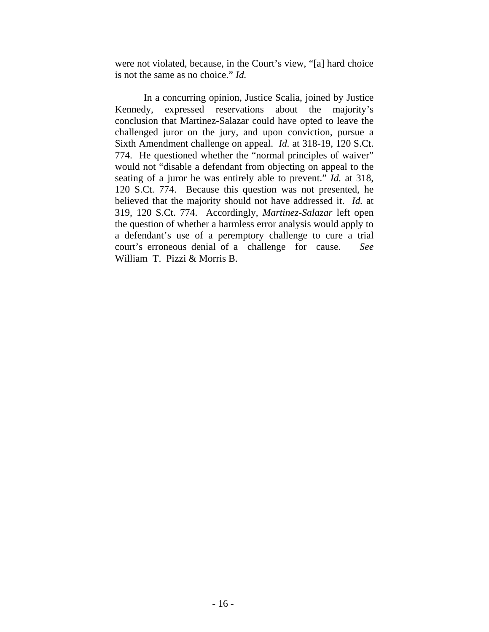were not violated, because, in the Court's view, "[a] hard choice is not the same as no choice." *Id.*

In a concurring opinion, Justice Scalia, joined by Justice Kennedy, expressed reservations about the majority's conclusion that Martinez-Salazar could have opted to leave the challenged juror on the jury, and upon conviction, pursue a Sixth Amendment challenge on appeal. *Id.* at 318-19, 120 S.Ct. 774. He questioned whether the "normal principles of waiver" would not "disable a defendant from objecting on appeal to the seating of a juror he was entirely able to prevent." *Id.* at 318, 120 S.Ct. 774. Because this question was not presented, he believed that the majority should not have addressed it. *Id.* at 319, 120 S.Ct. 774. Accordingly, *Martinez-Salazar* left open the question of whether a harmless error analysis would apply to a defendant's use of a peremptory challenge to cure a trial court's erroneous denial of a challenge for cause. *See* William T. Pizzi & Morris B.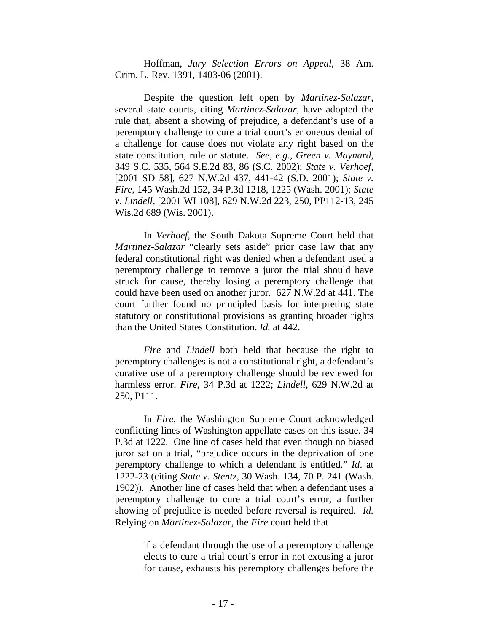Hoffman, *Jury Selection Errors on Appeal*, 38 Am. Crim. L. Rev. 1391, 1403-06 (2001).

Despite the question left open by *Martinez-Salazar*, several state courts, citing *Martinez-Salazar*, have adopted the rule that, absent a showing of prejudice, a defendant's use of a peremptory challenge to cure a trial court's erroneous denial of a challenge for cause does not violate any right based on the state constitution, rule or statute. *See, e.g., Green v. Maynard*, 349 S.C. 535, 564 S.E.2d 83, 86 (S.C. 2002); *State v. Verhoef*, [2001 SD 58], 627 N.W.2d 437, 441-42 (S.D. 2001); *State v. Fire*, 145 Wash.2d 152, 34 P.3d 1218, 1225 (Wash. 2001); *State v. Lindell*, [2001 WI 108], 629 N.W.2d 223, 250, PP112-13, 245 Wis.2d 689 (Wis. 2001).

In *Verhoef*, the South Dakota Supreme Court held that *Martinez-Salazar* "clearly sets aside" prior case law that any federal constitutional right was denied when a defendant used a peremptory challenge to remove a juror the trial should have struck for cause, thereby losing a peremptory challenge that could have been used on another juror. 627 N.W.2d at 441. The court further found no principled basis for interpreting state statutory or constitutional provisions as granting broader rights than the United States Constitution. *Id.* at 442.

*Fire* and *Lindell* both held that because the right to peremptory challenges is not a constitutional right, a defendant's curative use of a peremptory challenge should be reviewed for harmless error. *Fire*, 34 P.3d at 1222; *Lindell*, 629 N.W.2d at 250, P111.

In *Fire*, the Washington Supreme Court acknowledged conflicting lines of Washington appellate cases on this issue. 34 P.3d at 1222. One line of cases held that even though no biased juror sat on a trial, "prejudice occurs in the deprivation of one peremptory challenge to which a defendant is entitled." *Id*. at 1222-23 (citing *State v. Stentz*, 30 Wash. 134, 70 P. 241 (Wash. 1902)). Another line of cases held that when a defendant uses a peremptory challenge to cure a trial court's error, a further showing of prejudice is needed before reversal is required. *Id.*  Relying on *Martinez-Salazar*, the *Fire* court held that

> if a defendant through the use of a peremptory challenge elects to cure a trial court's error in not excusing a juror for cause, exhausts his peremptory challenges before the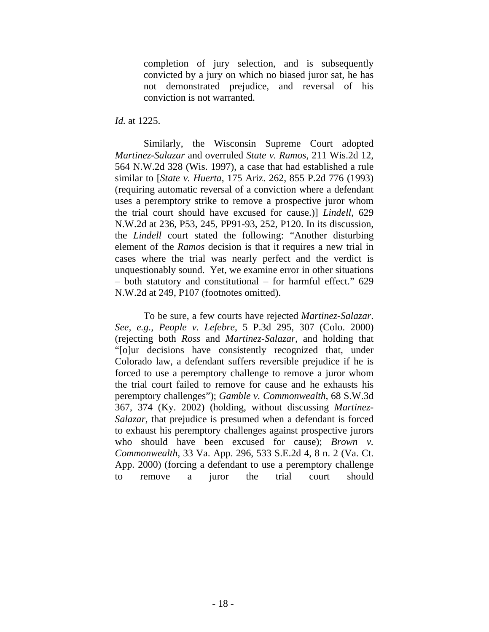completion of jury selection, and is subsequently convicted by a jury on which no biased juror sat, he has not demonstrated prejudice, and reversal of his conviction is not warranted.

### *Id.* at 1225.

Similarly, the Wisconsin Supreme Court adopted *Martinez-Salazar* and overruled *State v. Ramos*, 211 Wis.2d 12, 564 N.W.2d 328 (Wis. 1997), a case that had established a rule similar to [*State v. Huerta*, 175 Ariz. 262, 855 P.2d 776 (1993) (requiring automatic reversal of a conviction where a defendant uses a peremptory strike to remove a prospective juror whom the trial court should have excused for cause.)] *Lindell*, 629 N.W.2d at 236, P53, 245, PP91-93, 252, P120. In its discussion, the *Lindell* court stated the following: "Another disturbing element of the *Ramos* decision is that it requires a new trial in cases where the trial was nearly perfect and the verdict is unquestionably sound. Yet, we examine error in other situations – both statutory and constitutional – for harmful effect." 629 N.W.2d at 249, P107 (footnotes omitted).

To be sure, a few courts have rejected *Martinez-Salazar*. *See, e.g., People v. Lefebre*, 5 P.3d 295, 307 (Colo. 2000) (rejecting both *Ross* and *Martinez-Salazar*, and holding that "[o]ur decisions have consistently recognized that, under Colorado law, a defendant suffers reversible prejudice if he is forced to use a peremptory challenge to remove a juror whom the trial court failed to remove for cause and he exhausts his peremptory challenges"); *Gamble v. Commonwealth*, 68 S.W.3d 367, 374 (Ky. 2002) (holding, without discussing *Martinez-Salazar*, that prejudice is presumed when a defendant is forced to exhaust his peremptory challenges against prospective jurors who should have been excused for cause); *Brown v. Commonwealth*, 33 Va. App. 296, 533 S.E.2d 4, 8 n. 2 (Va. Ct. App. 2000) (forcing a defendant to use a peremptory challenge to remove a juror the trial court should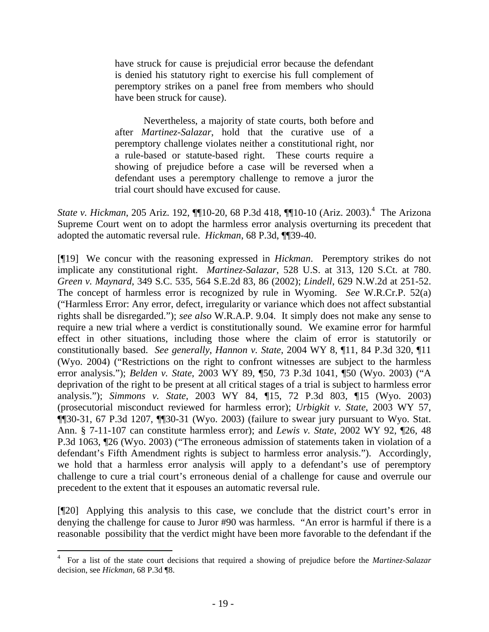have struck for cause is prejudicial error because the defendant is denied his statutory right to exercise his full complement of peremptory strikes on a panel free from members who should have been struck for cause).

Nevertheless, a majority of state courts, both before and after *Martinez-Salazar*, hold that the curative use of a peremptory challenge violates neither a constitutional right, nor a rule-based or statute-based right. These courts require a showing of prejudice before a case will be reversed when a defendant uses a peremptory challenge to remove a juror the trial court should have excused for cause.

*State v. Hickman*, 205 Ariz. 192, **[10**-20, 68 P.3d 418, **[10**-10 (Ariz. 2003).<sup>4</sup> The Arizona Supreme Court went on to adopt the harmless error analysis overturning its precedent that adopted the automatic reversal rule. *Hickman*, 68 P.3d, ¶¶39-40.

[¶19] We concur with the reasoning expressed in *Hickman*. Peremptory strikes do not implicate any constitutional right. *Martinez-Salazar*, 528 U.S. at 313, 120 S.Ct. at 780. *Green v. Maynard*, 349 S.C. 535, 564 S.E.2d 83, 86 (2002); *Lindell*, 629 N.W.2d at 251-52. The concept of harmless error is recognized by rule in Wyoming. *See* W.R.Cr.P. 52(a) ("Harmless Error: Any error, defect, irregularity or variance which does not affect substantial rights shall be disregarded."); *see also* W.R.A.P. 9.04. It simply does not make any sense to require a new trial where a verdict is constitutionally sound. We examine error for harmful effect in other situations, including those where the claim of error is statutorily or constitutionally based. *See generally*, *Hannon v. State*, 2004 WY 8, ¶11, 84 P.3d 320, ¶11 (Wyo. 2004) ("Restrictions on the right to confront witnesses are subject to the harmless error analysis."); *Belden v. State*, 2003 WY 89, ¶50, 73 P.3d 1041, ¶50 (Wyo. 2003) ("A deprivation of the right to be present at all critical stages of a trial is subject to harmless error analysis."); *Simmons v. State*, 2003 WY 84, ¶15, 72 P.3d 803, ¶15 (Wyo. 2003) (prosecutorial misconduct reviewed for harmless error); *Urbigkit v. State*, 2003 WY 57, ¶¶30-31, 67 P.3d 1207, ¶¶30-31 (Wyo. 2003) (failure to swear jury pursuant to Wyo. Stat. Ann. § 7-11-107 can constitute harmless error); and *Lewis v. State*, 2002 WY 92, ¶26, 48 P.3d 1063, ¶26 (Wyo. 2003) ("The erroneous admission of statements taken in violation of a defendant's Fifth Amendment rights is subject to harmless error analysis."). Accordingly, we hold that a harmless error analysis will apply to a defendant's use of peremptory challenge to cure a trial court's erroneous denial of a challenge for cause and overrule our precedent to the extent that it espouses an automatic reversal rule.

[¶20] Applying this analysis to this case, we conclude that the district court's error in denying the challenge for cause to Juror #90 was harmless. "An error is harmful if there is a reasonable possibility that the verdict might have been more favorable to the defendant if the

 $\frac{1}{4}$  For a list of the state court decisions that required a showing of prejudice before the *Martinez-Salazar* decision, see *Hickman*, 68 P.3d ¶8.